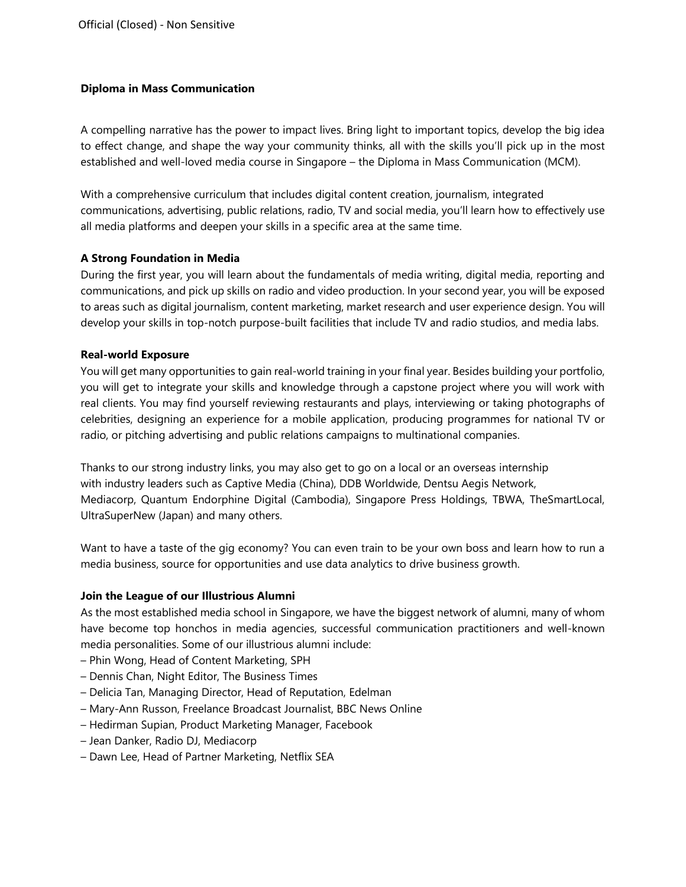# **Diploma in Mass Communication**

A compelling narrative has the power to impact lives. Bring light to important topics, develop the big idea to effect change, and shape the way your community thinks, all with the skills you'll pick up in the most established and well-loved media course in Singapore – the Diploma in Mass Communication (MCM).

With a comprehensive curriculum that includes digital content creation, journalism, integrated communications, advertising, public relations, radio, TV and social media, you'll learn how to effectively use all media platforms and deepen your skills in a specific area at the same time.

# **A Strong Foundation in Media**

During the first year, you will learn about the fundamentals of media writing, digital media, reporting and communications, and pick up skills on radio and video production. In your second year, you will be exposed to areas such as digital journalism, content marketing, market research and user experience design. You will develop your skills in top-notch purpose-built facilities that include TV and radio studios, and media labs.

# **Real-world Exposure**

You will get many opportunities to gain real-world training in your final year. Besides building your portfolio, you will get to integrate your skills and knowledge through a capstone project where you will work with real clients. You may find yourself reviewing restaurants and plays, interviewing or taking photographs of celebrities, designing an experience for a mobile application, producing programmes for national TV or radio, or pitching advertising and public relations campaigns to multinational companies.

Thanks to our strong industry links, you may also get to go on a local or an overseas internship with industry leaders such as Captive Media (China), DDB Worldwide, Dentsu Aegis Network, Mediacorp, Quantum Endorphine Digital (Cambodia), Singapore Press Holdings, TBWA, TheSmartLocal, UltraSuperNew (Japan) and many others.

Want to have a taste of the gig economy? You can even train to be your own boss and learn how to run a media business, source for opportunities and use data analytics to drive business growth.

# **Join the League of our Illustrious Alumni**

As the most established media school in Singapore, we have the biggest network of alumni, many of whom have become top honchos in media agencies, successful communication practitioners and well-known media personalities. Some of our illustrious alumni include:

- Phin Wong, Head of Content Marketing, SPH
- Dennis Chan, Night Editor, The Business Times
- Delicia Tan, Managing Director, Head of Reputation, Edelman
- Mary-Ann Russon, Freelance Broadcast Journalist, BBC News Online
- Hedirman Supian, Product Marketing Manager, Facebook
- Jean Danker, Radio DJ, Mediacorp
- Dawn Lee, Head of Partner Marketing, Netflix SEA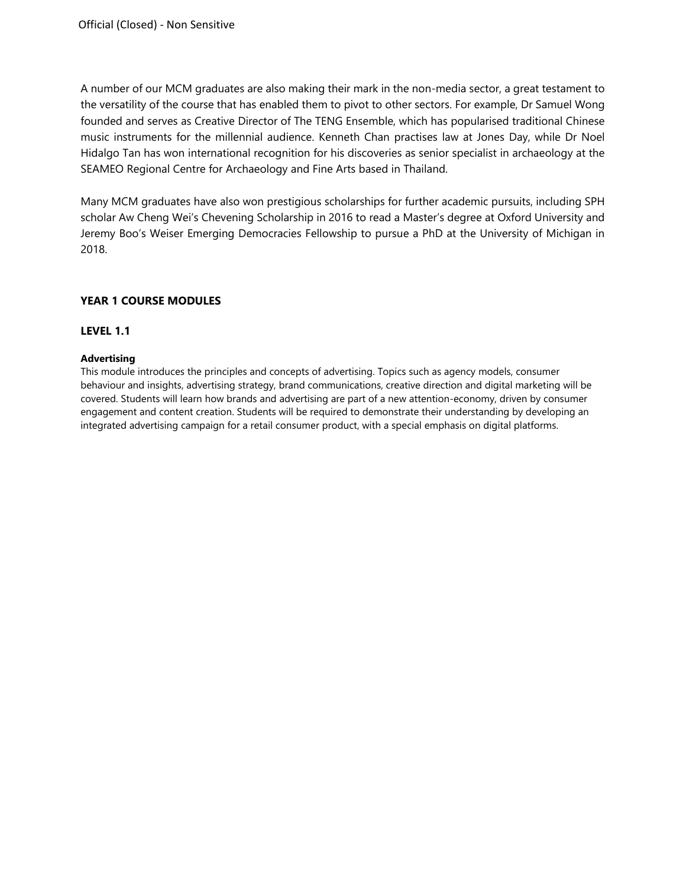A number of our MCM graduates are also making their mark in the non-media sector, a great testament to the versatility of the course that has enabled them to pivot to other sectors. For example, Dr Samuel Wong founded and serves as Creative Director of The TENG Ensemble, which has popularised traditional Chinese music instruments for the millennial audience. Kenneth Chan practises law at Jones Day, while Dr Noel Hidalgo Tan has won international recognition for his discoveries as senior specialist in archaeology at the SEAMEO Regional Centre for Archaeology and Fine Arts based in Thailand.

Many MCM graduates have also won prestigious scholarships for further academic pursuits, including SPH scholar Aw Cheng Wei's Chevening Scholarship in 2016 to read a Master's degree at Oxford University and Jeremy Boo's Weiser Emerging Democracies Fellowship to pursue a PhD at the University of Michigan in 2018.

# **YEAR 1 COURSE MODULES**

# **LEVEL 1.1**

# **Advertising**

This module introduces the principles and concepts of advertising. Topics such as agency models, consumer behaviour and insights, advertising strategy, brand communications, creative direction and digital marketing will be covered. Students will learn how brands and advertising are part of a new attention-economy, driven by consumer engagement and content creation. Students will be required to demonstrate their understanding by developing an integrated advertising campaign for a retail consumer product, with a special emphasis on digital platforms.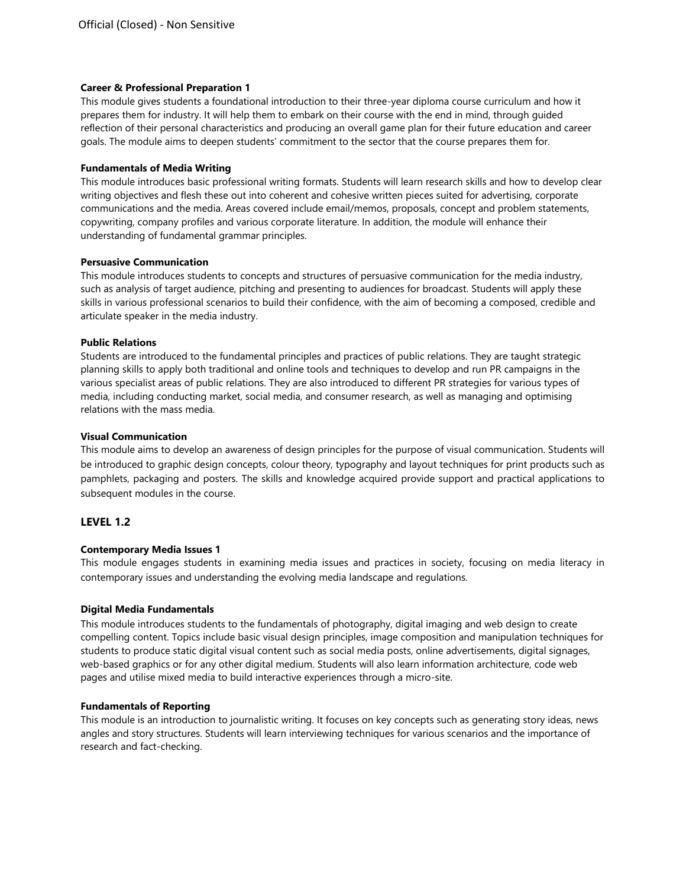## **Career & Professional Preparation 1**

This module gives students a foundational introduction to their three-year diploma course curriculum and how it prepares them for industry. It will help them to embark on their course with the end in mind, through guided reflection of their personal characteristics and producing an overall game plan for their future education and career goals. The module aims to deepen students' commitment to the sector that the course prepares them for.

## **Fundamentals of Media Writing**

This module introduces basic professional writing formats. Students will learn research skills and how to develop clear writing objectives and flesh these out into coherent and cohesive written pieces suited for advertising, corporate communications and the media. Areas covered include email/memos, proposals, concept and problem statements, copywriting, company profiles and various corporate literature. In addition, the module will enhance their understanding of fundamental grammar principles.

## **Persuasive Communication**

This module introduces students to concepts and structures of persuasive communication for the media industry, such as analysis of target audience, pitching and presenting to audiences for broadcast. Students will apply these skills in various professional scenarios to build their confidence, with the aim of becoming a composed, credible and articulate speaker in the media industry.

## **Public Relations**

Students are introduced to the fundamental principles and practices of public relations. They are taught strategic planning skills to apply both traditional and online tools and techniques to develop and run PR campaigns in the various specialist areas of public relations. They are also introduced to different PR strategies for various types of media, including conducting market, social media, and consumer research, as well as managing and optimising relations with the mass media.

## **Visual Communication**

This module aims to develop an awareness of design principles for the purpose of visual communication. Students will be introduced to graphic design concepts, colour theory, typography and layout techniques for print products such as pamphlets, packaging and posters. The skills and knowledge acquired provide support and practical applications to subsequent modules in the course.

# **LEVEL 1.2**

# **Contemporary Media Issues 1**

This module engages students in examining media issues and practices in society, focusing on media literacy in contemporary issues and understanding the evolving media landscape and regulations.

### **Digital Media Fundamentals**

This module introduces students to the fundamentals of photography, digital imaging and web design to create compelling content. Topics include basic visual design principles, image composition and manipulation techniques for students to produce static digital visual content such as social media posts, online advertisements, digital signages, web-based graphics or for any other digital medium. Students will also learn information architecture, code web pages and utilise mixed media to build interactive experiences through a micro-site.

### **Fundamentals of Reporting**

This module is an introduction to journalistic writing. It focuses on key concepts such as generating story ideas, news angles and story structures. Students will learn interviewing techniques for various scenarios and the importance of research and fact-checking.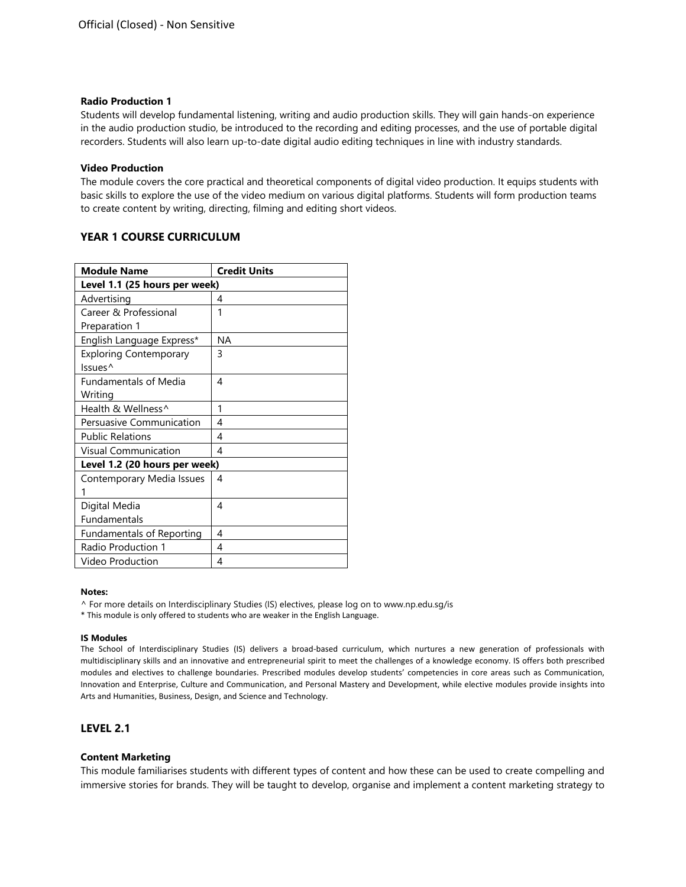#### **Radio Production 1**

Students will develop fundamental listening, writing and audio production skills. They will gain hands-on experience in the audio production studio, be introduced to the recording and editing processes, and the use of portable digital recorders. Students will also learn up-to-date digital audio editing techniques in line with industry standards.

#### **Video Production**

The module covers the core practical and theoretical components of digital video production. It equips students with basic skills to explore the use of the video medium on various digital platforms. Students will form production teams to create content by writing, directing, filming and editing short videos.

# **YEAR 1 COURSE CURRICULUM**

| <b>Module Name</b>            | <b>Credit Units</b> |
|-------------------------------|---------------------|
| Level 1.1 (25 hours per week) |                     |
| Advertising                   | 4                   |
| Career & Professional         | 1                   |
| Preparation 1                 |                     |
| English Language Express*     | ΝA                  |
| <b>Exploring Contemporary</b> | 3                   |
| Issues <sup>^</sup>           |                     |
| <b>Fundamentals of Media</b>  | 4                   |
| Writing                       |                     |
| Health & Wellness^            | 1                   |
| Persuasive Communication      | 4                   |
| <b>Public Relations</b>       | 4                   |
| Visual Communication          | 4                   |
| Level 1.2 (20 hours per week) |                     |
| Contemporary Media Issues     | 4                   |
| 1                             |                     |
| Digital Media                 | 4                   |
| <b>Fundamentals</b>           |                     |
| Fundamentals of Reporting     | 4                   |
| Radio Production 1            | 4                   |
| Video Production              | 4                   |

#### **Notes:**

^ For more details on Interdisciplinary Studies (IS) electives, please log on to www.np.edu.sg/is

\* This module is only offered to students who are weaker in the English Language.

#### **IS Modules**

The School of Interdisciplinary Studies (IS) delivers a broad-based curriculum, which nurtures a new generation of professionals with multidisciplinary skills and an innovative and entrepreneurial spirit to meet the challenges of a knowledge economy. IS offers both prescribed modules and electives to challenge boundaries. Prescribed modules develop students' competencies in core areas such as Communication, Innovation and Enterprise, Culture and Communication, and Personal Mastery and Development, while elective modules provide insights into Arts and Humanities, Business, Design, and Science and Technology.

# **LEVEL 2.1**

#### **Content Marketing**

This module familiarises students with different types of content and how these can be used to create compelling and immersive stories for brands. They will be taught to develop, organise and implement a content marketing strategy to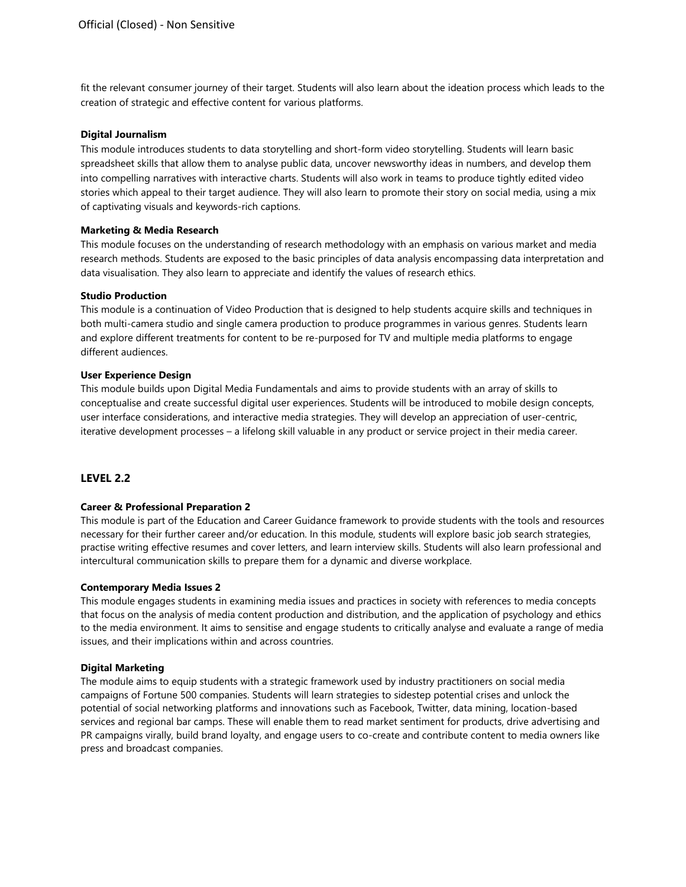fit the relevant consumer journey of their target. Students will also learn about the ideation process which leads to the creation of strategic and effective content for various platforms.

#### **Digital Journalism**

This module introduces students to data storytelling and short-form video storytelling. Students will learn basic spreadsheet skills that allow them to analyse public data, uncover newsworthy ideas in numbers, and develop them into compelling narratives with interactive charts. Students will also work in teams to produce tightly edited video stories which appeal to their target audience. They will also learn to promote their story on social media, using a mix of captivating visuals and keywords-rich captions.

### **Marketing & Media Research**

This module focuses on the understanding of research methodology with an emphasis on various market and media research methods. Students are exposed to the basic principles of data analysis encompassing data interpretation and data visualisation. They also learn to appreciate and identify the values of research ethics.

## **Studio Production**

This module is a continuation of Video Production that is designed to help students acquire skills and techniques in both multi-camera studio and single camera production to produce programmes in various genres. Students learn and explore different treatments for content to be re-purposed for TV and multiple media platforms to engage different audiences.

#### **User Experience Design**

This module builds upon Digital Media Fundamentals and aims to provide students with an array of skills to conceptualise and create successful digital user experiences. Students will be introduced to mobile design concepts, user interface considerations, and interactive media strategies. They will develop an appreciation of user-centric, iterative development processes – a lifelong skill valuable in any product or service project in their media career.

### **LEVEL 2.2**

### **Career & Professional Preparation 2**

This module is part of the Education and Career Guidance framework to provide students with the tools and resources necessary for their further career and/or education. In this module, students will explore basic job search strategies, practise writing effective resumes and cover letters, and learn interview skills. Students will also learn professional and intercultural communication skills to prepare them for a dynamic and diverse workplace.

#### **Contemporary Media Issues 2**

This module engages students in examining media issues and practices in society with references to media concepts that focus on the analysis of media content production and distribution, and the application of psychology and ethics to the media environment. It aims to sensitise and engage students to critically analyse and evaluate a range of media issues, and their implications within and across countries.

#### **Digital Marketing**

The module aims to equip students with a strategic framework used by industry practitioners on social media campaigns of Fortune 500 companies. Students will learn strategies to sidestep potential crises and unlock the potential of social networking platforms and innovations such as Facebook, Twitter, data mining, location-based services and regional bar camps. These will enable them to read market sentiment for products, drive advertising and PR campaigns virally, build brand loyalty, and engage users to co-create and contribute content to media owners like press and broadcast companies.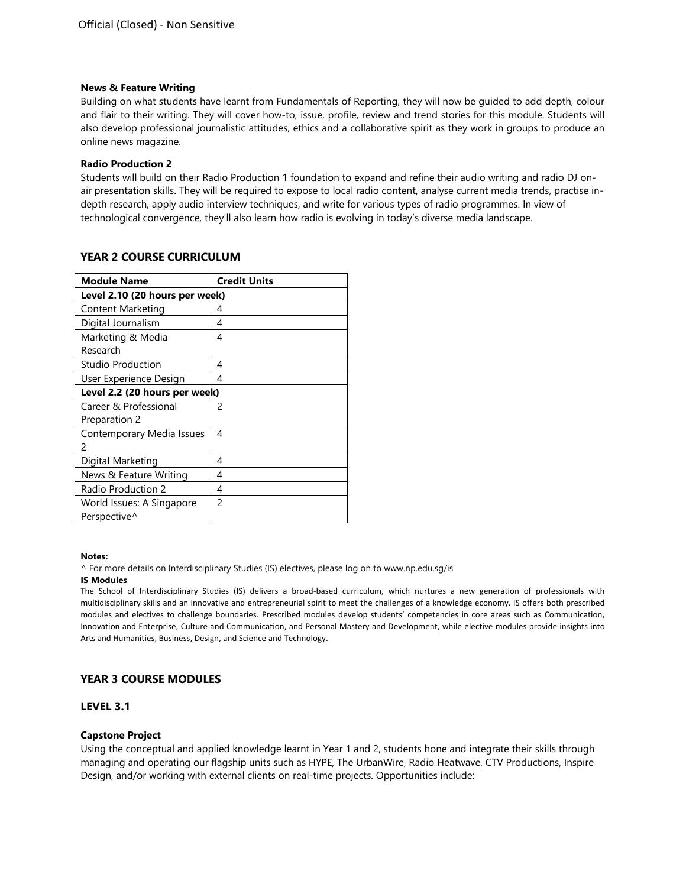#### **News & Feature Writing**

Building on what students have learnt from Fundamentals of Reporting, they will now be guided to add depth, colour and flair to their writing. They will cover how-to, issue, profile, review and trend stories for this module. Students will also develop professional journalistic attitudes, ethics and a collaborative spirit as they work in groups to produce an online news magazine.

#### **Radio Production 2**

Students will build on their Radio Production 1 foundation to expand and refine their audio writing and radio DJ onair presentation skills. They will be required to expose to local radio content, analyse current media trends, practise indepth research, apply audio interview techniques, and write for various types of radio programmes. In view of technological convergence, they'll also learn how radio is evolving in today's diverse media landscape.

| <b>Module Name</b>             | <b>Credit Units</b> |
|--------------------------------|---------------------|
| Level 2.10 (20 hours per week) |                     |
| Content Marketing              | 4                   |
| Digital Journalism             | 4                   |
| Marketing & Media              | 4                   |
| Research                       |                     |
| Studio Production              | 4                   |
| User Experience Design         | 4                   |
| Level 2.2 (20 hours per week)  |                     |
| Career & Professional          | 2                   |
| Preparation 2                  |                     |
| Contemporary Media Issues      | 4                   |
| 2                              |                     |
| Digital Marketing              | 4                   |
| News & Feature Writing         | 4                   |
| Radio Production 2             | 4                   |
| World Issues: A Singapore      | $\mathcal{P}$       |
| Perspective <sup>^</sup>       |                     |

## **YEAR 2 COURSE CURRICULUM**

#### **Notes:**

^ For more details on Interdisciplinary Studies (IS) electives, please log on to www.np.edu.sg/is

#### **IS Modules**

The School of Interdisciplinary Studies (IS) delivers a broad-based curriculum, which nurtures a new generation of professionals with multidisciplinary skills and an innovative and entrepreneurial spirit to meet the challenges of a knowledge economy. IS offers both prescribed modules and electives to challenge boundaries. Prescribed modules develop students' competencies in core areas such as Communication, Innovation and Enterprise, Culture and Communication, and Personal Mastery and Development, while elective modules provide insights into Arts and Humanities, Business, Design, and Science and Technology.

# **YEAR 3 COURSE MODULES**

### **LEVEL 3.1**

### **Capstone Project**

Using the conceptual and applied knowledge learnt in Year 1 and 2, students hone and integrate their skills through managing and operating our flagship units such as HYPE, The UrbanWire, Radio Heatwave, CTV Productions, Inspire Design, and/or working with external clients on real-time projects. Opportunities include: